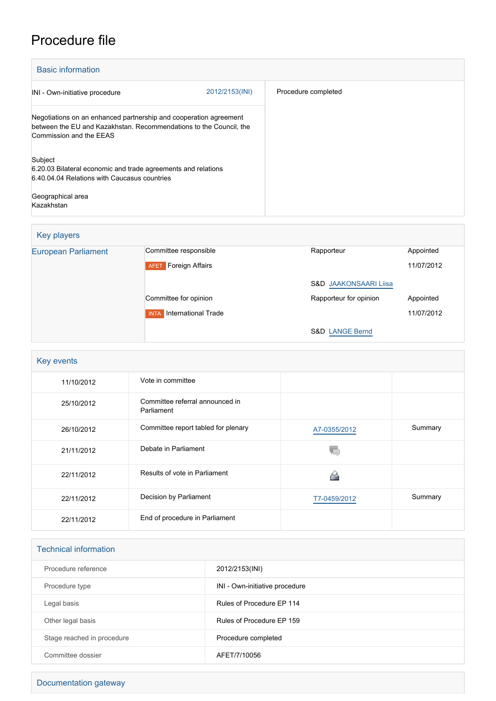## Procedure file

| <b>Basic information</b>                                                                                                                                           |                |                     |
|--------------------------------------------------------------------------------------------------------------------------------------------------------------------|----------------|---------------------|
| INI - Own-initiative procedure                                                                                                                                     | 2012/2153(INI) | Procedure completed |
| Negotiations on an enhanced partnership and cooperation agreement<br>between the EU and Kazakhstan. Recommendations to the Council, the<br>Commission and the EEAS |                |                     |
| Subject<br>6.20.03 Bilateral economic and trade agreements and relations<br>6.40.04.04 Relations with Caucasus countries                                           |                |                     |
| Geographical area<br>Kazakhstan                                                                                                                                    |                |                     |

| Key players                |                                       |                                  |            |
|----------------------------|---------------------------------------|----------------------------------|------------|
| <b>European Parliament</b> | Committee responsible                 | Rapporteur                       | Appointed  |
|                            | <b>Foreign Affairs</b><br><b>AFET</b> |                                  | 11/07/2012 |
|                            |                                       | <b>S&amp;D JAAKONSAARI Liisa</b> |            |
|                            | Committee for opinion                 | Rapporteur for opinion           | Appointed  |
|                            | International Trade<br><b>INTA</b>    |                                  | 11/07/2012 |
|                            |                                       | <b>S&amp;D LANGE Bernd</b>       |            |

| Key events |                                               |              |         |  |
|------------|-----------------------------------------------|--------------|---------|--|
| 11/10/2012 | Vote in committee                             |              |         |  |
| 25/10/2012 | Committee referral announced in<br>Parliament |              |         |  |
| 26/10/2012 | Committee report tabled for plenary           | A7-0355/2012 | Summary |  |
| 21/11/2012 | Debate in Parliament                          |              |         |  |
| 22/11/2012 | Results of vote in Parliament                 |              |         |  |
| 22/11/2012 | Decision by Parliament                        | T7-0459/2012 | Summary |  |
| 22/11/2012 | End of procedure in Parliament                |              |         |  |

| <b>Technical information</b> |                                |
|------------------------------|--------------------------------|
| Procedure reference          | 2012/2153(INI)                 |
| Procedure type               | INI - Own-initiative procedure |
| Legal basis                  | Rules of Procedure EP 114      |
| Other legal basis            | Rules of Procedure EP 159      |
| Stage reached in procedure   | Procedure completed            |
| Committee dossier            | AFET/7/10056                   |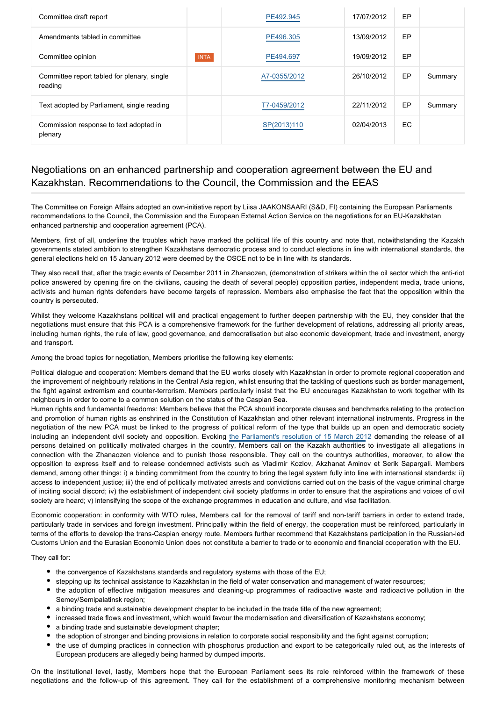| Committee draft report                                 |             | PE492.945    | 17/07/2012 | EP        |         |
|--------------------------------------------------------|-------------|--------------|------------|-----------|---------|
| Amendments tabled in committee                         |             | PE496.305    | 13/09/2012 | EP        |         |
| Committee opinion                                      | <b>INTA</b> | PE494.697    | 19/09/2012 | EP        |         |
| Committee report tabled for plenary, single<br>reading |             | A7-0355/2012 | 26/10/2012 | EP        | Summary |
| Text adopted by Parliament, single reading             |             | T7-0459/2012 | 22/11/2012 | EP        | Summary |
| Commission response to text adopted in<br>plenary      |             | SP(2013)110  | 02/04/2013 | <b>EC</b> |         |

## Negotiations on an enhanced partnership and cooperation agreement between the EU and Kazakhstan. Recommendations to the Council, the Commission and the EEAS

The Committee on Foreign Affairs adopted an own-initiative report by Liisa JAAKONSAARI (S&D, FI) containing the European Parliaments recommendations to the Council, the Commission and the European External Action Service on the negotiations for an EU-Kazakhstan enhanced partnership and cooperation agreement (PCA).

Members, first of all, underline the troubles which have marked the political life of this country and note that, notwithstanding the Kazakh governments stated ambition to strengthen Kazakhstans democratic process and to conduct elections in line with international standards, the general elections held on 15 January 2012 were deemed by the OSCE not to be in line with its standards.

They also recall that, after the tragic events of December 2011 in Zhanaozen, (demonstration of strikers within the oil sector which the anti-riot police answered by opening fire on the civilians, causing the death of several people) opposition parties, independent media, trade unions, activists and human rights defenders have become targets of repression. Members also emphasise the fact that the opposition within the country is persecuted.

Whilst they welcome Kazakhstans political will and practical engagement to further deepen partnership with the EU, they consider that the negotiations must ensure that this PCA is a comprehensive framework for the further development of relations, addressing all priority areas, including human rights, the rule of law, good governance, and democratisation but also economic development, trade and investment, energy and transport.

Among the broad topics for negotiation, Members prioritise the following key elements:

Political dialogue and cooperation: Members demand that the EU works closely with Kazakhstan in order to promote regional cooperation and the improvement of neighbourly relations in the Central Asia region, whilst ensuring that the tackling of questions such as border management, the fight against extremism and counter-terrorism. Members particularly insist that the EU encourages Kazakhstan to work together with its neighbours in order to come to a common solution on the status of the Caspian Sea.

Human rights and fundamental freedoms: Members believe that the PCA should incorporate clauses and benchmarks relating to the protection and promotion of human rights as enshrined in the Constitution of Kazakhstan and other relevant international instruments. Progress in the negotiation of the new PCA must be linked to the progress of political reform of the type that builds up an open and democratic society including an independent civil society and opposition. Evoking [the Parliament's resolution of 15 March 201](http://www.europarl.europa.eu/oeil/popups/ficheprocedure.do?lang=EN&procnum=RSP/2012/2553)2 demanding the release of all persons detained on politically motivated charges in the country, Members call on the Kazakh authorities to investigate all allegations in connection with the Zhanaozen violence and to punish those responsible. They call on the countrys authorities, moreover, to allow the opposition to express itself and to release condemned activists such as Vladimir Kozlov, Akzhanat Aminov et Serik Sapargali. Members demand, among other things: i) a binding commitment from the country to bring the legal system fully into line with international standards; ii) access to independent justice; iii) the end of politically motivated arrests and convictions carried out on the basis of the vague criminal charge of inciting social discord; iv) the establishment of independent civil society platforms in order to ensure that the aspirations and voices of civil society are heard; v) intensifying the scope of the exchange programmes in education and culture, and visa facilitation.

Economic cooperation: in conformity with WTO rules, Members call for the removal of tariff and non-tariff barriers in order to extend trade, particularly trade in services and foreign investment. Principally within the field of energy, the cooperation must be reinforced, particularly in terms of the efforts to develop the trans-Caspian energy route. Members further recommend that Kazakhstans participation in the Russian-led Customs Union and the Eurasian Economic Union does not constitute a barrier to trade or to economic and financial cooperation with the EU.

They call for:

- the convergence of Kazakhstans standards and regulatory systems with those of the EU;
- stepping up its technical assistance to Kazakhstan in the field of water conservation and management of water resources;
- the adoption of effective mitigation measures and cleaning-up programmes of radioactive waste and radioactive pollution in the Semey/Semipalatinsk region;
- a binding trade and sustainable development chapter to be included in the trade title of the new agreement;
- increased trade flows and investment, which would favour the modernisation and diversification of Kazakhstans economy;
- a binding trade and sustainable development chapter;
- the adoption of stronger and binding provisions in relation to corporate social responsibility and the fight against corruption;
- the use of dumping practices in connection with phosphorus production and export to be categorically ruled out, as the interests of European producers are allegedly being harmed by dumped imports.

On the institutional level, lastly, Members hope that the European Parliament sees its role reinforced within the framework of these negotiations and the follow-up of this agreement. They call for the establishment of a comprehensive monitoring mechanism between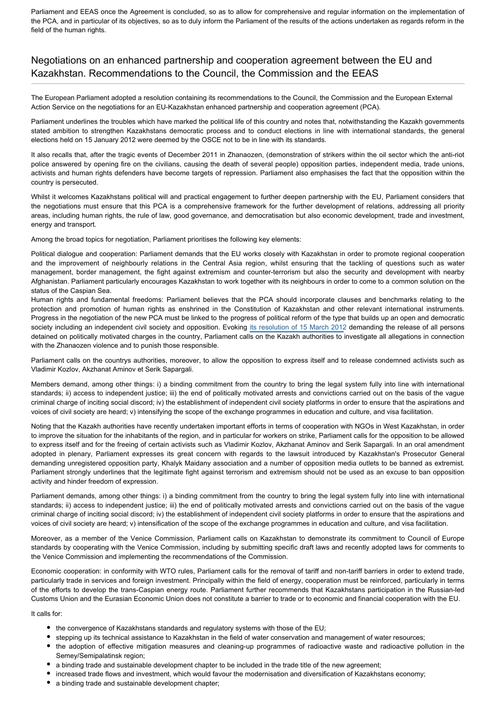Parliament and EEAS once the Agreement is concluded, so as to allow for comprehensive and regular information on the implementation of the PCA, and in particular of its objectives, so as to duly inform the Parliament of the results of the actions undertaken as regards reform in the field of the human rights.

## Negotiations on an enhanced partnership and cooperation agreement between the EU and Kazakhstan. Recommendations to the Council, the Commission and the EEAS

The European Parliament adopted a resolution containing its recommendations to the Council, the Commission and the European External Action Service on the negotiations for an EU-Kazakhstan enhanced partnership and cooperation agreement (PCA).

Parliament underlines the troubles which have marked the political life of this country and notes that, notwithstanding the Kazakh governments stated ambition to strengthen Kazakhstans democratic process and to conduct elections in line with international standards, the general elections held on 15 January 2012 were deemed by the OSCE not to be in line with its standards.

It also recalls that, after the tragic events of December 2011 in Zhanaozen, (demonstration of strikers within the oil sector which the anti-riot police answered by opening fire on the civilians, causing the death of several people) opposition parties, independent media, trade unions, activists and human rights defenders have become targets of repression. Parliament also emphasises the fact that the opposition within the country is persecuted.

Whilst it welcomes Kazakhstans political will and practical engagement to further deepen partnership with the EU, Parliament considers that the negotiations must ensure that this PCA is a comprehensive framework for the further development of relations, addressing all priority areas, including human rights, the rule of law, good governance, and democratisation but also economic development, trade and investment, energy and transport.

Among the broad topics for negotiation, Parliament prioritises the following key elements:

Political dialogue and cooperation: Parliament demands that the EU works closely with Kazakhstan in order to promote regional cooperation and the improvement of neighbourly relations in the Central Asia region, whilst ensuring that the tackling of questions such as water management, border management, the fight against extremism and counter-terrorism but also the security and development with nearby Afghanistan. Parliament particularly encourages Kazakhstan to work together with its neighbours in order to come to a common solution on the status of the Caspian Sea.

Human rights and fundamental freedoms: Parliament believes that the PCA should incorporate clauses and benchmarks relating to the protection and promotion of human rights as enshrined in the Constitution of Kazakhstan and other relevant international instruments. Progress in the negotiation of the new PCA must be linked to the progress of political reform of the type that builds up an open and democratic society including an independent civil society and opposition. Evoking [its resolution of 15 March 2012](http://www.europarl.europa.eu/oeil/popups/ficheprocedure.do?lang=EN&procnum=RSP/2012/2553) demanding the release of all persons detained on politically motivated charges in the country, Parliament calls on the Kazakh authorities to investigate all allegations in connection with the Zhanaozen violence and to punish those responsible.

Parliament calls on the countrys authorities, moreover, to allow the opposition to express itself and to release condemned activists such as Vladimir Kozlov, Akzhanat Aminov et Serik Sapargali.

Members demand, among other things: i) a binding commitment from the country to bring the legal system fully into line with international standards; ii) access to independent justice; iii) the end of politically motivated arrests and convictions carried out on the basis of the vague criminal charge of inciting social discord; iv) the establishment of independent civil society platforms in order to ensure that the aspirations and voices of civil society are heard; v) intensifying the scope of the exchange programmes in education and culture, and visa facilitation.

Noting that the Kazakh authorities have recently undertaken important efforts in terms of cooperation with NGOs in West Kazakhstan, in order to improve the situation for the inhabitants of the region, and in particular for workers on strike, Parliament calls for the opposition to be allowed to express itself and for the freeing of certain activists such as Vladimir Kozlov, Akzhanat Aminov and Serik Sapargali. In an oral amendment adopted in plenary, Parliament expresses its great concern with regards to the lawsuit introduced by Kazakhstan's Prosecutor General demanding unregistered opposition party, Khalyk Maidany association and a number of opposition media outlets to be banned as extremist. Parliament strongly underlines that the legitimate fight against terrorism and extremism should not be used as an excuse to ban opposition activity and hinder freedom of expression.

Parliament demands, among other things: i) a binding commitment from the country to bring the legal system fully into line with international standards; ii) access to independent justice; iii) the end of politically motivated arrests and convictions carried out on the basis of the vague criminal charge of inciting social discord; iv) the establishment of independent civil society platforms in order to ensure that the aspirations and voices of civil society are heard; v) intensification of the scope of the exchange programmes in education and culture, and visa facilitation.

Moreover, as a member of the Venice Commission, Parliament calls on Kazakhstan to demonstrate its commitment to Council of Europe standards by cooperating with the Venice Commission, including by submitting specific draft laws and recently adopted laws for comments to the Venice Commission and implementing the recommendations of the Commission.

Economic cooperation: in conformity with WTO rules, Parliament calls for the removal of tariff and non-tariff barriers in order to extend trade, particularly trade in services and foreign investment. Principally within the field of energy, cooperation must be reinforced, particularly in terms of the efforts to develop the trans-Caspian energy route. Parliament further recommends that Kazakhstans participation in the Russian-led Customs Union and the Eurasian Economic Union does not constitute a barrier to trade or to economic and financial cooperation with the EU.

It calls for:

- the convergence of Kazakhstans standards and regulatory systems with those of the EU;
- stepping up its technical assistance to Kazakhstan in the field of water conservation and management of water resources;
- the adoption of effective mitigation measures and cleaning-up programmes of radioactive waste and radioactive pollution in the Semey/Semipalatinsk region;
- a binding trade and sustainable development chapter to be included in the trade title of the new agreement;
- increased trade flows and investment, which would favour the modernisation and diversification of Kazakhstans economy;
- a binding trade and sustainable development chapter;